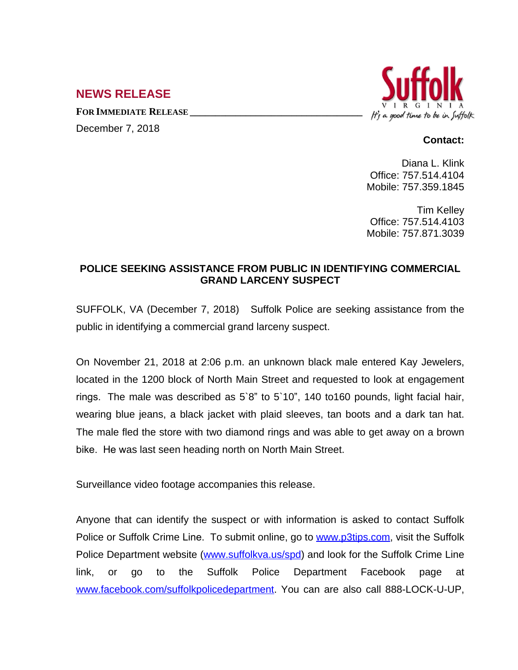## **NEWS RELEASE**

**FOR IMMEDIATE RELEASE \_\_\_\_\_\_\_\_\_\_\_\_\_\_\_\_\_\_\_\_\_\_\_\_\_\_\_\_\_\_\_\_\_\_**

December 7, 2018



## **Contact:**

Diana L. Klink Office: 757.514.4104 Mobile: 757.359.1845

Tim Kelley Office: 757.514.4103 Mobile: 757.871.3039

## **POLICE SEEKING ASSISTANCE FROM PUBLIC IN IDENTIFYING COMMERCIAL GRAND LARCENY SUSPECT**

SUFFOLK, VA (December 7, 2018) Suffolk Police are seeking assistance from the public in identifying a commercial grand larceny suspect.

On November 21, 2018 at 2:06 p.m. an unknown black male entered Kay Jewelers, located in the 1200 block of North Main Street and requested to look at engagement rings. The male was described as 5`8" to 5`10", 140 to160 pounds, light facial hair, wearing blue jeans, a black jacket with plaid sleeves, tan boots and a dark tan hat. The male fled the store with two diamond rings and was able to get away on a brown bike. He was last seen heading north on North Main Street.

Surveillance video footage accompanies this release.

Anyone that can identify the suspect or with information is asked to contact Suffolk Police or Suffolk Crime Line. To submit online, go to [www.p3tips.com](http://www.p3tips.com), visit the Suffolk Police Department website ([www.suffolkva.us/spd](http://www.suffolkva.us/spd)) and look for the Suffolk Crime Line link, or go to the Suffolk Police Department Facebook page at [www.facebook.com/suffolkpolicedepartment](http://www.facebook.com/suffolkpolicedepartment). You can are also call 888-LOCK-U-UP,